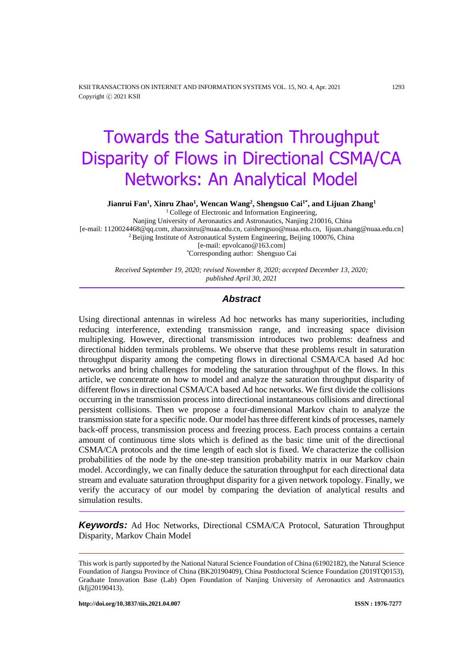KSII TRANSACTIONS ON INTERNET AND INFORMATION SYSTEMS VOL. 15, NO. 4, Apr. 2021 1293 Copyright ⓒ 2021 KSII

# Towards the Saturation Throughput Disparity of Flows in Directional CSMA/CA Networks: An Analytical Model

**Jianrui Fan<sup>1</sup> , Xinru Zhao<sup>1</sup> , Wencan Wang<sup>2</sup> , Shengsuo Cai1\* , and Lijuan Zhang<sup>1</sup>**

<sup>1</sup> College of Electronic and Information Engineering, Nanjing University of Aeronautics and Astronautics, Nanjing 210016, China [e-mail: 1120024468@qq.com, zhaoxinru@nuaa.edu.cn, [caishengsuo@nuaa.edu.cn,](mailto:caishengsuo@nuaa.edu.cn) lijuan.zhang@nuaa.edu.cn] <sup>2</sup> Beijing Institute of Astronautical System Engineering, Beijing 100076, China [e-mail: epvolcano@163.com] *\**Corresponding author: Shengsuo Cai

> *Received September 19, 2020; revised November 8, 2020; accepted December 13, 2020; published April 30, 2021*

# *Abstract*

Using directional antennas in wireless Ad hoc networks has many superiorities, including reducing interference, extending transmission range, and increasing space division multiplexing. However, directional transmission introduces two problems: deafness and directional hidden terminals problems. We observe that these problems result in saturation throughput disparity among the competing flows in directional CSMA/CA based Ad hoc networks and bring challenges for modeling the saturation throughput of the flows. In this article, we concentrate on how to model and analyze the saturation throughput disparity of different flows in directional CSMA/CA based Ad hoc networks. We first divide the collisions occurring in the transmission process into directional instantaneous collisions and directional persistent collisions. Then we propose a four-dimensional Markov chain to analyze the transmission state for a specific node. Our model has three different kinds of processes, namely back-off process, transmission process and freezing process. Each process contains a certain amount of continuous time slots which is defined as the basic time unit of the directional CSMA/CA protocols and the time length of each slot is fixed. We characterize the collision probabilities of the node by the one-step transition probability matrix in our Markov chain model. Accordingly, we can finally deduce the saturation throughput for each directional data stream and evaluate saturation throughput disparity for a given network topology. Finally, we verify the accuracy of our model by comparing the deviation of analytical results and simulation results.

*Keywords:* Ad Hoc Networks, Directional CSMA/CA Protocol, Saturation Throughput Disparity, Markov Chain Model

This work is partly supported by the National Natural Science Foundation of China (61902182), the Natural Science Foundation of Jiangsu Province of China (BK20190409), China Postdoctoral Science Foundation (2019TQ0153), Graduate Innovation Base (Lab) Open Foundation of Nanjing University of Aeronautics and Astronautics (kfjj20190413).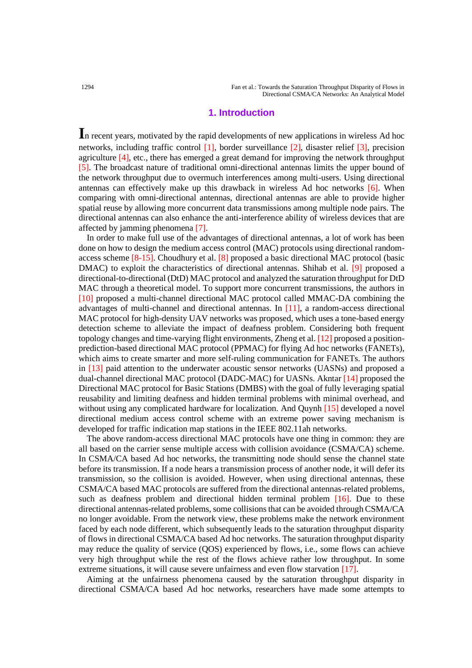# **1. Introduction**

**I**<sup>n</sup> recent years, motivated by the rapid developments of new applications in wireless Ad hoc networks, including traffic control [1], border surveillance [2], disaster relief [3], precision agriculture [4], etc., there has emerged a great demand for improving the network throughput [5]. The broadcast nature of traditional omni-directional antennas limits the upper bound of the network throughput due to overmuch interferences among multi-users. Using directional antennas can effectively make up this drawback in wireless Ad hoc networks [6]. When comparing with omni-directional antennas, directional antennas are able to provide higher spatial reuse by allowing more concurrent data transmissions among multiple node pairs. The directional antennas can also enhance the anti-interference ability of wireless devices that are affected by jamming phenomena [7].

In order to make full use of the advantages of directional antennas, a lot of work has been done on how to design the medium access control (MAC) protocols using directional randomaccess scheme [8-15]. Choudhury et al. [8] proposed a basic directional MAC protocol (basic DMAC) to exploit the characteristics of directional antennas. Shihab et al. [9] proposed a directional-to-directional (DtD) MAC protocol and analyzed the saturation throughput for DtD MAC through a theoretical model. To support more concurrent transmissions, the authors in [10] proposed a multi-channel directional MAC protocol called MMAC-DA combining the advantages of multi-channel and directional antennas. In [11], a random-access directional MAC protocol for high-density UAV networks was proposed, which uses a tone-based energy detection scheme to alleviate the impact of deafness problem. Considering both frequent topology changes and time-varying flight environments, Zheng et al. [12] proposed a positionprediction-based directional MAC protocol (PPMAC) for flying Ad hoc networks (FANETs), which aims to create smarter and more self-ruling communication for FANETs. The authors in [13] paid attention to the underwater acoustic sensor networks (UASNs) and proposed a dual-channel directional MAC protocol (DADC-MAC) for UASNs. Akntar [14] proposed the Directional MAC protocol for Basic Stations (DMBS) with the goal of fully leveraging spatial reusability and limiting deafness and hidden terminal problems with minimal overhead, and without using any complicated hardware for localization. And Quynh [15] developed a novel directional medium access control scheme with an extreme power saving mechanism is developed for traffic indication map stations in the IEEE 802.11ah networks.

The above random-access directional MAC protocols have one thing in common: they are all based on the carrier sense multiple access with collision avoidance (CSMA/CA) scheme. In CSMA/CA based Ad hoc networks, the transmitting node should sense the channel state before its transmission. If a node hears a transmission process of another node, it will defer its transmission, so the collision is avoided. However, when using directional antennas, these CSMA/CA based MAC protocols are suffered from the directional antennas-related problems, such as deafness problem and directional hidden terminal problem [16]. Due to these directional antennas-related problems, some collisions that can be avoided through CSMA/CA no longer avoidable. From the network view, these problems make the network environment faced by each node different, which subsequently leads to the saturation throughput disparity of flows in directional CSMA/CA based Ad hoc networks. The saturation throughput disparity may reduce the quality of service (QOS) experienced by flows, i.e., some flows can achieve very high throughput while the rest of the flows achieve rather low throughput. In some extreme situations, it will cause severe unfairness and even flow starvation [17].

Aiming at the unfairness phenomena caused by the saturation throughput disparity in directional CSMA/CA based Ad hoc networks, researchers have made some attempts to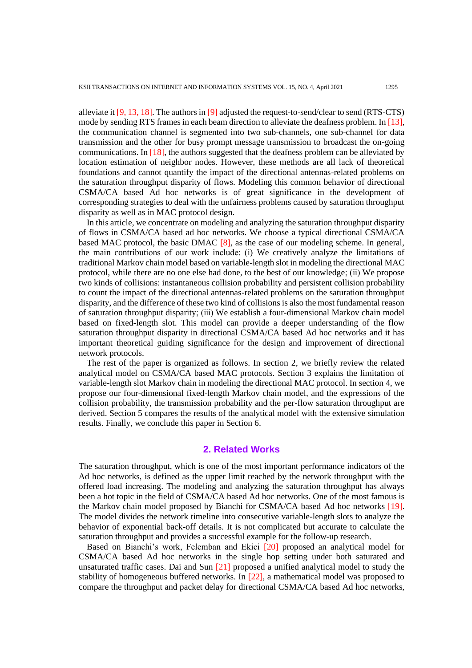alleviate it  $[9, 13, 18]$ . The authors in  $[9]$  adjusted the request-to-send/clear to send (RTS-CTS) mode by sending RTS frames in each beam direction to alleviate the deafness problem. In [13], the communication channel is segmented into two sub-channels, one sub-channel for data transmission and the other for busy prompt message transmission to broadcast the on-going communications. In [18], the authors suggested that the deafness problem can be alleviated by location estimation of neighbor nodes. However, these methods are all lack of theoretical foundations and cannot quantify the impact of the directional antennas-related problems on the saturation throughput disparity of flows. Modeling this common behavior of directional CSMA/CA based Ad hoc networks is of great significance in the development of corresponding strategies to deal with the unfairness problems caused by saturation throughput disparity as well as in MAC protocol design.

In this article, we concentrate on modeling and analyzing the saturation throughput disparity of flows in CSMA/CA based ad hoc networks. We choose a typical directional CSMA/CA based MAC protocol, the basic DMAC [8], as the case of our modeling scheme. In general, the main contributions of our work include: (ⅰ) We creatively analyze the limitations of traditional Markov chain model based on variable-length slot in modeling the directional MAC protocol, while there are no one else had done, to the best of our knowledge; (ⅱ) We propose two kinds of collisions: instantaneous collision probability and persistent collision probability to count the impact of the directional antennas-related problems on the saturation throughput disparity, and the difference of these two kind of collisions is also the most fundamental reason of saturation throughput disparity; (ⅲ) We establish a four-dimensional Markov chain model based on fixed-length slot. This model can provide a deeper understanding of the flow saturation throughput disparity in directional CSMA/CA based Ad hoc networks and it has important theoretical guiding significance for the design and improvement of directional network protocols.

The rest of the paper is organized as follows. In section 2, we briefly review the related analytical model on CSMA/CA based MAC protocols. Section 3 explains the limitation of variable-length slot Markov chain in modeling the directional MAC protocol. In section 4, we propose our four-dimensional fixed-length Markov chain model, and the expressions of the collision probability, the transmission probability and the per-flow saturation throughput are derived. Section 5 compares the results of the analytical model with the extensive simulation results. Finally, we conclude this paper in Section 6.

# **2. Related Works**

The saturation throughput, which is one of the most important performance indicators of the Ad hoc networks, is defined as the upper limit reached by the network throughput with the offered load increasing. The modeling and analyzing the saturation throughput has always been a hot topic in the field of CSMA/CA based Ad hoc networks. One of the most famous is the Markov chain model proposed by Bianchi for CSMA/CA based Ad hoc networks [19]. The model divides the network timeline into consecutive variable-length slots to analyze the behavior of exponential back-off details. It is not complicated but accurate to calculate the saturation throughput and provides a successful example for the follow-up research.

Based on Bianchi's work, Felemban and Ekici [20] proposed an analytical model for CSMA/CA based Ad hoc networks in the single hop setting under both saturated and unsaturated traffic cases. Dai and Sun [21] proposed a unified analytical model to study the stability of homogeneous buffered networks. In [22], a mathematical model was proposed to compare the throughput and packet delay for directional CSMA/CA based Ad hoc networks,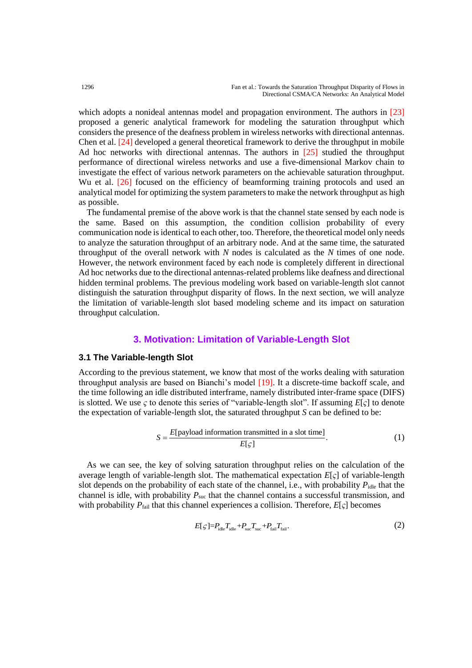which adopts a nonideal antennas model and propagation environment. The authors in [23] proposed a generic analytical framework for modeling the saturation throughput which considers the presence of the deafness problem in wireless networks with directional antennas. Chen et al. [24] developed a general theoretical framework to derive the throughput in mobile Ad hoc networks with directional antennas. The authors in [25] studied the throughput performance of directional wireless networks and use a five-dimensional Markov chain to investigate the effect of various network parameters on the achievable saturation throughput. Wu et al. [26] focused on the efficiency of beamforming training protocols and used an analytical model for optimizing the system parameters to make the network throughput as high as possible.

The fundamental premise of the above work is that the channel state sensed by each node is the same. Based on this assumption, the condition collision probability of every communication node is identical to each other, too. Therefore, the theoretical model only needs to analyze the saturation throughput of an arbitrary node. And at the same time, the saturated throughput of the overall network with *N* nodes is calculated as the *N* times of one node. However, the network environment faced by each node is completely different in directional Ad hoc networks due to the directional antennas-related problems like deafness and directional hidden terminal problems. The previous modeling work based on variable-length slot cannot distinguish the saturation throughput disparity of flows. In the next section, we will analyze the limitation of variable-length slot based modeling scheme and its impact on saturation throughput calculation.

# **3. Motivation: Limitation of Variable-Length Slot**

## **3.1 The Variable-length Slot**

According to the previous statement, we know that most of the works dealing with saturation throughput analysis are based on Bianchi's model [19]. It a discrete-time backoff scale, and the time following an idle distributed interframe, namely distributed inter-frame space (DIFS) is slotted. We use *ς* to denote this series of "variable-length slot". If assuming *E*[*ς*] to denote the expectation of variable-length slot, the saturated throughput *S* can be defined to be:

$$
S = \frac{E[\text{payload information transmitted in a slot time}]}{E[\varsigma]}
$$
 (1)

As we can see, the key of solving saturation throughput relies on the calculation of the average length of variable-length slot. The mathematical expectation *E*[*ς*] of variable-length slot depends on the probability of each state of the channel, i.e., with probability  $P_{\text{idle}}$  that the channel is idle, with probability  $P_{\text{suc}}$  that the channel contains a successful transmission, and with probability  $P_{\text{fail}}$  that this channel experiences a collision. Therefore,  $E[\varsigma]$  becomes

$$
E[\zeta] = P_{\text{idle}} T_{\text{idle}} + P_{\text{sur}} T_{\text{sur}} + P_{\text{fail}} T_{\text{fail}}.
$$
\n(2)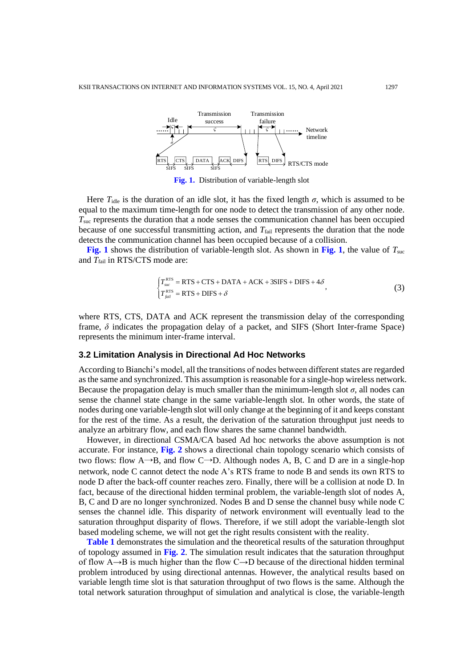

**Fig. 1.** Distribution of variable-length slot

Here  $T_{idle}$  is the duration of an idle slot, it has the fixed length  $\sigma$ , which is assumed to be equal to the maximum time-length for one node to detect the transmission of any other node. *T*suc represents the duration that a node senses the communication channel has been occupied because of one successful transmitting action, and T<sub>fail</sub> represents the duration that the node detects the communication channel has been occupied because of a collision.

**Fig. 1** shows the distribution of variable-length slot. As shown in **Fig. 1**, the value of *T*suc and *T*<sub>fail</sub> in RTS/CTS mode are:

$$
\begin{cases}\nT_{\text{succ}}^{\text{RTS}} = \text{RTS} + \text{CTS} + \text{DATA} + \text{ACK} + 3\text{SIFS} + \text{DIFS} + 4\delta \\
T_{\text{fail}}^{\text{RTS}} = \text{RTS} + \text{DIFS} + \delta\n\end{cases}
$$
\n(3)

where RTS, CTS, DATA and ACK represent the transmission delay of the corresponding frame, *δ* indicates the propagation delay of a packet, and SIFS (Short Inter-frame Space) represents the minimum inter-frame interval.

## **3.2 Limitation Analysis in Directional Ad Hoc Networks**

According to Bianchi's model, all the transitions of nodes between different states are regarded as the same and synchronized. This assumption is reasonable for a single-hop wireless network. Because the propagation delay is much smaller than the minimum-length slot  $\sigma$ , all nodes can sense the channel state change in the same variable-length slot. In other words, the state of nodes during one variable-length slot will only change at the beginning of it and keeps constant for the rest of the time. As a result, the derivation of the saturation throughput just needs to analyze an arbitrary flow, and each flow shares the same channel bandwidth.

However, in directional CSMA/CA based Ad hoc networks the above assumption is not accurate. For instance, **Fig. 2** shows a directional chain topology scenario which consists of two flows: flow A→B, and flow C→D. Although nodes A, B, C and D are in a single-hop network, node C cannot detect the node A's RTS frame to node B and sends its own RTS to node D after the back-off counter reaches zero. Finally, there will be a collision at node D. In fact, because of the directional hidden terminal problem, the variable-length slot of nodes A, B, C and D are no longer synchronized. Nodes B and D sense the channel busy while node C senses the channel idle. This disparity of network environment will eventually lead to the saturation throughput disparity of flows. Therefore, if we still adopt the variable-length slot based modeling scheme, we will not get the right results consistent with the reality.

**Table 1** demonstrates the simulation and the theoretical results of the saturation throughput of topology assumed in **Fig. 2**. The simulation result indicates that the saturation throughput of flow  $A \rightarrow B$  is much higher than the flow C $\rightarrow$ D because of the directional hidden terminal problem introduced by using directional antennas. However, the analytical results based on variable length time slot is that saturation throughput of two flows is the same. Although the total network saturation throughput of simulation and analytical is close, the variable-length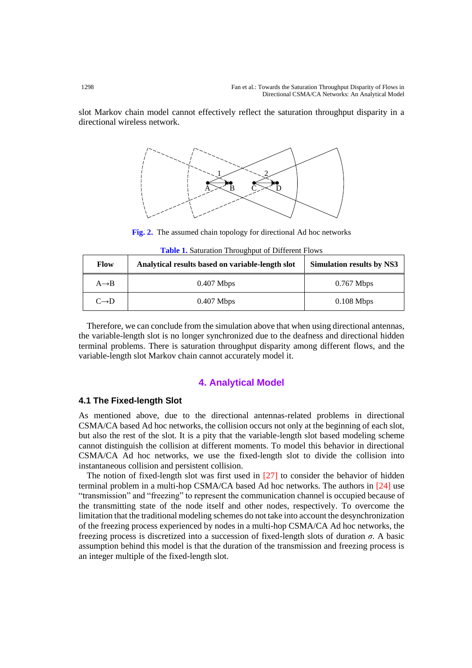slot Markov chain model cannot effectively reflect the saturation throughput disparity in a directional wireless network.



**Fig. 2.** The assumed chain topology for directional Ad hoc networks

| <b>Flow</b>       | Analytical results based on variable-length slot | <b>Simulation results by NS3</b> |
|-------------------|--------------------------------------------------|----------------------------------|
| $A \rightarrow B$ | $0.407$ Mbps                                     | $0.767$ Mbps                     |
| $C\rightarrow D$  | $0.407$ Mbps                                     | $0.108$ Mbps                     |

**Table 1.** Saturation Throughput of Different Flows

Therefore, we can conclude from the simulation above that when using directional antennas, the variable-length slot is no longer synchronized due to the deafness and directional hidden terminal problems. There is saturation throughput disparity among different flows, and the variable-length slot Markov chain cannot accurately model it.

# **4. Analytical Model**

## **4.1 The Fixed-length Slot**

As mentioned above, due to the directional antennas-related problems in directional CSMA/CA based Ad hoc networks, the collision occurs not only at the beginning of each slot, but also the rest of the slot. It is a pity that the variable-length slot based modeling scheme cannot distinguish the collision at different moments. To model this behavior in directional CSMA/CA Ad hoc networks, we use the fixed-length slot to divide the collision into instantaneous collision and persistent collision.

The notion of fixed-length slot was first used in  $[27]$  to consider the behavior of hidden terminal problem in a multi-hop CSMA/CA based Ad hoc networks. The authors in [24] use "transmission" and "freezing" to represent the communication channel is occupied because of the transmitting state of the node itself and other nodes, respectively. To overcome the limitation that the traditional modeling schemes do not take into account the desynchronization of the freezing process experienced by nodes in a multi-hop CSMA/CA Ad hoc networks, the freezing process is discretized into a succession of fixed-length slots of duration *σ*. A basic assumption behind this model is that the duration of the transmission and freezing process is an integer multiple of the fixed-length slot.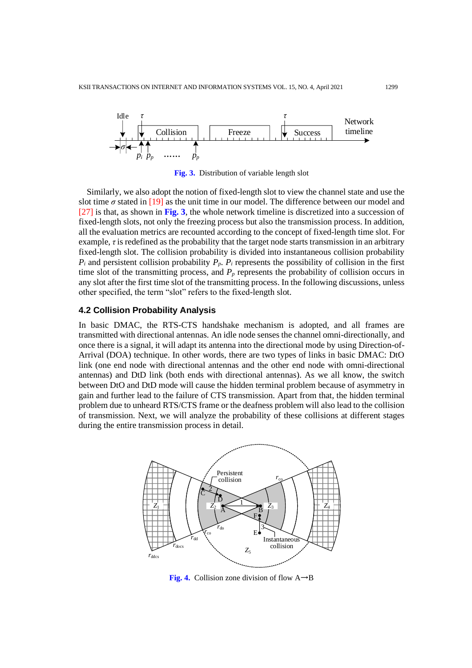

**Fig. 3.** Distribution of variable length slot

Similarly, we also adopt the notion of fixed-length slot to view the channel state and use the slot time  $\sigma$  stated in [19] as the unit time in our model. The difference between our model and [27] is that, as shown in **Fig. 3**, the whole network timeline is discretized into a succession of fixed-length slots, not only the freezing process but also the transmission process. In addition, all the evaluation metrics are recounted according to the concept of fixed-length time slot. For example, *τ* is redefined as the probability that the target node starts transmission in an arbitrary fixed-length slot. The collision probability is divided into instantaneous collision probability  $P_i$  and persistent collision probability  $P_p$ .  $P_i$  represents the possibility of collision in the first time slot of the transmitting process, and  $P_p$  represents the probability of collision occurs in any slot after the first time slot of the transmitting process. In the following discussions, unless other specified, the term "slot" refers to the fixed-length slot.

# **4.2 Collision Probability Analysis**

In basic DMAC, the RTS-CTS handshake mechanism is adopted, and all frames are transmitted with directional antennas. An idle node senses the channel omni-directionally, and once there is a signal, it will adapt its antenna into the directional mode by using Direction-of-Arrival (DOA) technique. In other words, there are two types of links in basic DMAC: DtO link (one end node with directional antennas and the other end node with omni-directional antennas) and DtD link (both ends with directional antennas). As we all know, the switch between DtO and DtD mode will cause the hidden terminal problem because of asymmetry in gain and further lead to the failure of CTS transmission. Apart from that, the hidden terminal problem due to unheard RTS/CTS frame or the deafness problem will also lead to the collision of transmission. Next, we will analyze the probability of these collisions at different stages during the entire transmission process in detail.



**Fig. 4.** Collision zone division of flow  $A \rightarrow B$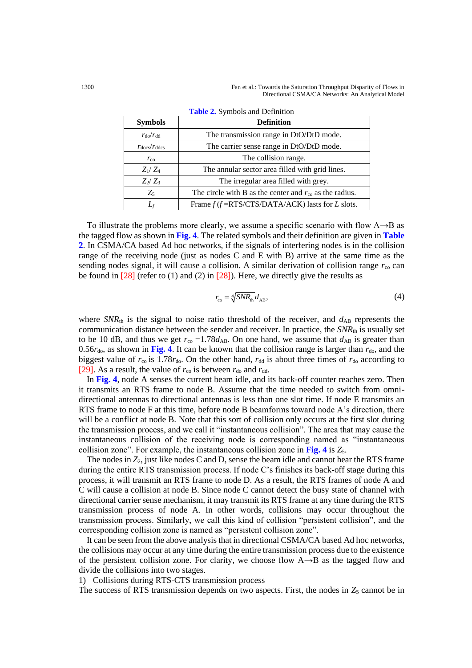1300 Fan et al.: Towards the Saturation Throughput Disparity of Flows in Directional CSMA/CA Networks: An Analytical Model

| <b>Symbols</b>              | <b>Definition</b>                                                              |
|-----------------------------|--------------------------------------------------------------------------------|
| $r_{\rm do}/r_{\rm dd}$     | The transmission range in DtO/DtD mode.                                        |
| $r_{\rm docs}/r_{\rm ddes}$ | The carrier sense range in DtO/DtD mode.                                       |
| $r_{\rm co}$                | The collision range.                                                           |
| $Z_1/Z_4$                   | The annular sector area filled with grid lines.                                |
| $Z_2/Z_3$                   | The irregular area filled with grey.                                           |
| $Z_5$                       | The circle with B as the center and $r_{\rm co}$ as the radius.                |
|                             | Frame $f(f = \text{RTS}/\text{CTS}/\text{DATA}/\text{ACK})$ lasts for L slots. |

| <b>Table 2.</b> Symbols and Definition |  |
|----------------------------------------|--|
|----------------------------------------|--|

To illustrate the problems more clearly, we assume a specific scenario with flow A→B as the tagged flow as shown in **Fig. 4**. The related symbols and their definition are given in **Table 2**. In CSMA/CA based Ad hoc networks, if the signals of interfering nodes is in the collision range of the receiving node (just as nodes C and E with B) arrive at the same time as the sending nodes signal, it will cause a collision. A similar derivation of collision range  $r_{\rm co}$  can be found in  $[28]$  (refer to (1) and (2) in  $[28]$ ). Here, we directly give the results as

$$
r_{\rm co} = \sqrt[4]{SNR_{\rm th}} d_{\rm AB},\tag{4}
$$

where  $SNR<sub>th</sub>$  is the signal to noise ratio threshold of the receiver, and  $d<sub>AB</sub>$  represents the communication distance between the sender and receiver. In practice, the *SNR*th is usually set to be 10 dB, and thus we get  $r_{\text{co}} = 1.78d_{AB}$ . On one hand, we assume that  $d_{AB}$  is greater than 0.56 $r_{\text{do}}$ , as shown in Fig. 4. It can be known that the collision range is larger than  $r_{\text{do}}$ , and the biggest value of  $r_{\rm co}$  is 1.78 $r_{\rm do}$ . On the other hand,  $r_{\rm dd}$  is about three times of  $r_{\rm do}$  according to [29]. As a result, the value of  $r_{\rm co}$  is between  $r_{\rm do}$  and  $r_{\rm dd}$ .

In **Fig. 4**, node A senses the current beam idle, and its back-off counter reaches zero. Then it transmits an RTS frame to node B. Assume that the time needed to switch from omnidirectional antennas to directional antennas is less than one slot time. If node E transmits an RTS frame to node F at this time, before node B beamforms toward node A's direction, there will be a conflict at node B. Note that this sort of collision only occurs at the first slot during the transmission process, and we call it "instantaneous collision". The area that may cause the instantaneous collision of the receiving node is corresponding named as "instantaneous collision zone". For example, the instantaneous collision zone in **Fig. 4** is *Z*5.

The nodes in *Z*2, just like nodes C and D, sense the beam idle and cannot hear the RTS frame during the entire RTS transmission process. If node C's finishes its back-off stage during this process, it will transmit an RTS frame to node D. As a result, the RTS frames of node A and C will cause a collision at node B. Since node C cannot detect the busy state of channel with directional carrier sense mechanism, it may transmit its RTS frame at any time during the RTS transmission process of node A. In other words, collisions may occur throughout the transmission process. Similarly, we call this kind of collision "persistent collision", and the corresponding collision zone is named as "persistent collision zone".

It can be seen from the above analysis that in directional CSMA/CA based Ad hoc networks, the collisions may occur at any time during the entire transmission process due to the existence of the persistent collision zone. For clarity, we choose flow  $A \rightarrow B$  as the tagged flow and divide the collisions into two stages.

1) Collisions during RTS-CTS transmission process

The success of RTS transmission depends on two aspects. First, the nodes in  $Z_5$  cannot be in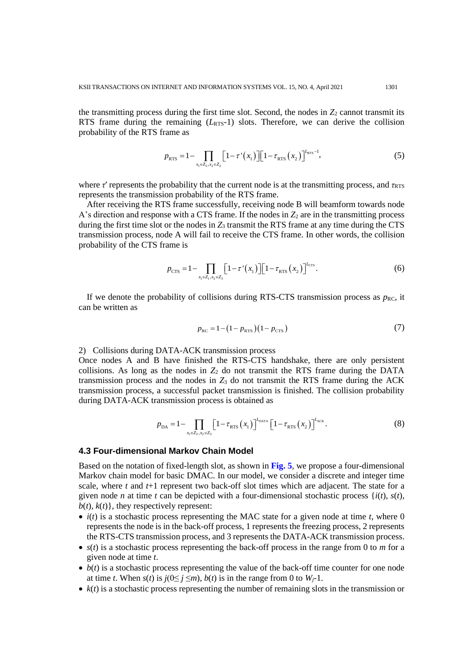the transmitting process during the first time slot. Second, the nodes in  $Z_2$  cannot transmit its RTS frame during the remaining  $(L_{RTS}-1)$  slots. Therefore, we can derive the collision probability of the RTS frame as

$$
p_{\text{RTS}} = 1 - \prod_{x_1 \in Z_5, x_2 \in Z_2} \left[ 1 - \tau'(x_1) \right] \left[ 1 - \tau_{\text{RTS}}(x_2) \right]^{L_{\text{RTS}} - 1},\tag{5}
$$

where  $\tau'$  represents the probability that the current node is at the transmitting process, and  $\tau_{RTS}$ represents the transmission probability of the RTS frame.

After receiving the RTS frame successfully, receiving node B will beamform towards node A's direction and response with a CTS frame. If the nodes in  $Z_2$  are in the transmitting process during the first time slot or the nodes in  $Z_3$  transmit the RTS frame at any time during the CTS transmission process, node A will fail to receive the CTS frame. In other words, the collision probability of the CTS frame is

$$
p_{\text{CTS}} = 1 - \prod_{x_1 \in Z_1, x_2 \in Z_3} \left[ 1 - \tau'(x_1) \right] \left[ 1 - \tau_{\text{RTS}}(x_2) \right]^{I_{\text{CTS}}}. \tag{6}
$$

If we denote the probability of collisions during RTS-CTS transmission process as  $p_{\text{RC}}$ , it can be written as

$$
p_{\rm RC} = 1 - (1 - p_{\rm RTS})(1 - p_{\rm CTS})\tag{7}
$$

2) Collisions during DATA-ACK transmission process

Once nodes A and B have finished the RTS-CTS handshake, there are only persistent collisions. As long as the nodes in  $Z_2$  do not transmit the RTS frame during the DATA transmission process and the nodes in  $Z_3$  do not transmit the RTS frame during the ACK transmission process, a successful packet transmission is finished. The collision probability during DATA-ACK transmission process is obtained as

$$
p_{\text{DA}} = 1 - \prod_{x_1 \in Z_2, x_2 \in Z_3} \left[ 1 - \tau_{\text{RTS}} \left( x_1 \right) \right]^{L_{\text{DATA}}} \left[ 1 - \tau_{\text{RTS}} \left( x_2 \right) \right]^{L_{\text{ACK}}} . \tag{8}
$$

## **4.3 Four-dimensional Markov Chain Model**

Based on the notation of fixed-length slot, as shown in **Fig. 5**, we propose a four-dimensional Markov chain model for basic DMAC. In our model, we consider a discrete and integer time scale, where *t* and *t*+1 represent two back-off slot times which are adjacent. The state for a given node *n* at time *t* can be depicted with a four-dimensional stochastic process  $\{i(t), s(t),$  $b(t)$ ,  $k(t)$ }, they respectively represent:

- $\bullet$  *i(t)* is a stochastic process representing the MAC state for a given node at time *t*, where 0 represents the node is in the back-off process, 1 represents the freezing process, 2 represents the RTS-CTS transmission process, and 3 represents the DATA-ACK transmission process.
- $s(t)$  is a stochastic process representing the back-off process in the range from 0 to *m* for a given node at time *t*.
- $\bullet$  *b*(*t*) is a stochastic process representing the value of the back-off time counter for one node at time *t*. When  $s(t)$  is  $j(0 \leq j \leq m)$ ,  $b(t)$  is in the range from 0 to  $W_i$ -1.
- $\bullet$   $k(t)$  is a stochastic process representing the number of remaining slots in the transmission or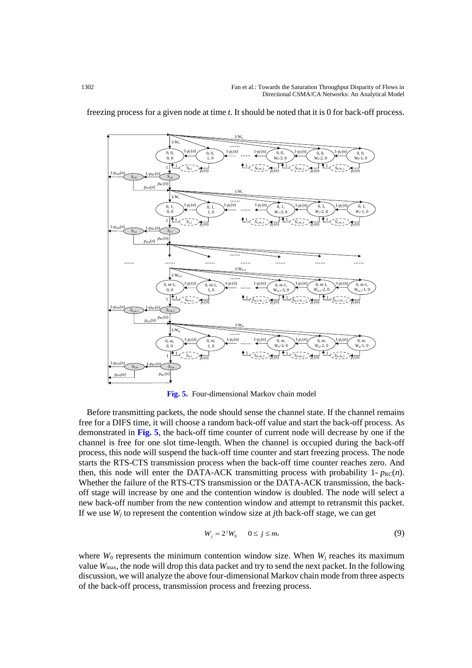

freezing process for a given node at time *t*. It should be noted that it is 0 for back-off process.

**Fig. 5.** Four-dimensional Markov chain model

Before transmitting packets, the node should sense the channel state. If the channel remains free for a DIFS time, it will choose a random back-off value and start the back-off process. As demonstrated in **Fig. 5**, the back-off time counter of current node will decrease by one if the channel is free for one slot time-length. When the channel is occupied during the back-off process, this node will suspend the back-off time counter and start freezing process. The node starts the RTS-CTS transmission process when the back-off time counter reaches zero. And then, this node will enter the DATA-ACK transmitting process with probability  $1 - p_{RC}(n)$ . Whether the failure of the RTS-CTS transmission or the DATA-ACK transmission, the backoff stage will increase by one and the contention window is doubled. The node will select a new back-off number from the new contention window and attempt to retransmit this packet. If we use  $W_i$  to represent the contention window size at *j*th back-off stage, we can get

$$
W_j = 2^j W_0 \qquad 0 \le j \le m,\tag{9}
$$

where  $W_0$  represents the minimum contention window size. When  $W_i$  reaches its maximum value *W*max, the node will drop this data packet and try to send the next packet. In the following discussion, we will analyze the above four-dimensional Markov chain mode from three aspects of the back-off process, transmission process and freezing process.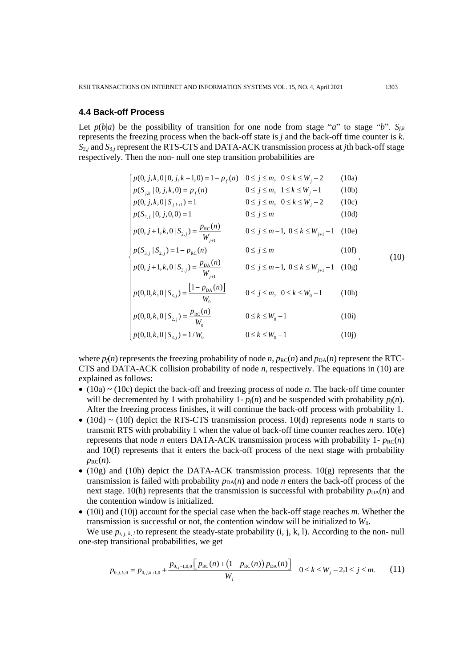## **4.4 Back-off Process**

Let  $p(b|a)$  be the possibility of transition for one node from stage "*a*" to stage "*b*".  $S_{ik}$ represents the freezing process when the back-off state is *j* and the back-off time counter is *k*. *S*2*,j* and *S*3,*<sup>j</sup>* represent the RTS-CTS and DATA-ACK transmission process at *j*th back-off stage respectively. Then the non- null one step transition probabilities are

$$
\begin{cases}\np(0, j, k, 0 | 0, j, k + 1, 0) = 1 - p_f(n) & 0 \le j \le m, \quad 0 \le k \le W_j - 2 & (10a) \\
p(S_{j,k} | 0, j, k, 0) = p_f(n) & 0 \le j \le m, \quad 1 \le k \le W_j - 1 & (10b) \\
p(0, j, k, 0 | S_{j,k+1}) = 1 & 0 \le j \le m, \quad 0 \le k \le W_j - 2 & (10c) \\
p(S_{2,j} | 0, j, 0, 0) = 1 & 0 \le j \le m & (10d) \\
p(0, j + 1, k, 0 | S_{2,j}) = \frac{p_{\text{RC}}(n)}{W_{j+1}} & 0 \le j \le m - 1, \quad 0 \le k \le W_{j+1} - 1 & (10e) \\
p(S_{3,j} | S_{2,j}) = 1 - p_{\text{RC}}(n) & 0 \le j \le m & (10f) \\
p(0, j + 1, k, 0 | S_{3,j}) = \frac{p_{\text{DA}}(n)}{W_{j+1}} & 0 \le j \le m - 1, \quad 0 \le k \le W_{j+1} - 1 & (10g) \\
p(0, 0, k, 0 | S_{3,j}) = \frac{[1 - p_{\text{DA}}(n)]}{W_0} & 0 \le j \le m, \quad 0 \le k \le W_0 - 1 & (10h) \\
p(0, 0, k, 0 | S_{2,j}) = \frac{p_{\text{RC}}(n)}{W_0} & 0 \le k \le W_0 - 1 & (10i) \\
p(0, 0, k, 0 | S_{3,j}) = 1 / W_0 & 0 \le k \le W_0 - 1 & (10j)\n\end{cases}
$$

where  $p_f(n)$  represents the freezing probability of node *n*,  $p_{\text{RC}}(n)$  and  $p_{\text{DA}}(n)$  represent the RTC-CTS and DATA-ACK collision probability of node *n*, respectively. The equations in (10) are explained as follows:

- (10a) ~ (10c) depict the back-off and freezing process of node *n*. The back-off time counter will be decremented by 1 with probability  $1-p_f(n)$  and be suspended with probability  $p_f(n)$ . After the freezing process finishes, it will continue the back-off process with probability 1.
- (10d) ~ (10f) depict the RTS-CTS transmission process. 10(d) represents node *n* starts to transmit RTS with probability 1 when the value of back-off time counter reaches zero. 10(e) represents that node *n* enters DATA-ACK transmission process with probability  $1 - p_{RC}(n)$ and 10(f) represents that it enters the back-off process of the next stage with probability  $p_{\text{RC}}(n)$ .
- (10g) and (10h) depict the DATA-ACK transmission process.  $10(g)$  represents that the transmission is failed with probability  $p_{DA}(n)$  and node *n* enters the back-off process of the next stage. 10(h) represents that the transmission is successful with probability  $p_{DA}(n)$  and the contention window is initialized.
- (10i) and (10j) account for the special case when the back-off stage reaches *m*. Whether the transmission is successful or not, the contention window will be initialized to *W*0.

We use  $p_{i,j,k,l}$  to represent the steady-state probability  $(i, j, k, l)$ . According to the non- null one-step transitional probabilities, we get

$$
p_{0,j,k,0} = p_{0,j,k+1,0} + \frac{p_{0,j-1,0,0} \left[ p_{\text{RC}}(n) + \left( 1 - p_{\text{RC}}(n) \right) p_{\text{DA}}(n) \right]}{W_j} \quad 0 \le k \le W_j - 2, 1 \le j \le m. \tag{11}
$$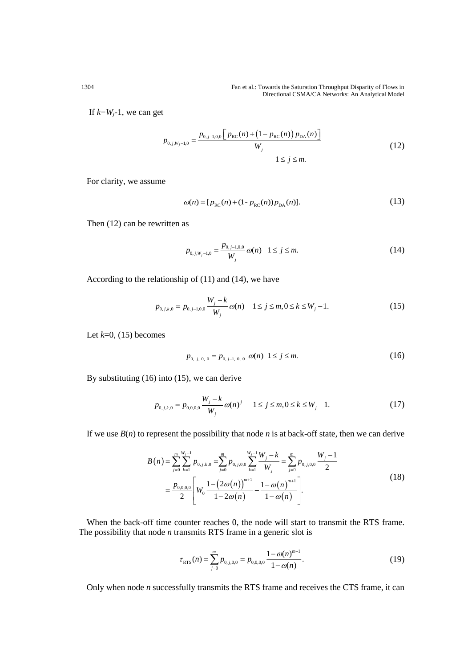#### 1304 Fan et al.: Towards the Saturation Throughput Disparity of Flows in Directional CSMA/CA Networks: An Analytical Model

If  $k= W_j-1$ , we can get

$$
p_{0,j,W_j-1,0} = \frac{p_{0,j-1,0,0} \left[ p_{\rm RC}(n) + \left( 1 - p_{\rm RC}(n) \right) p_{\rm DA}(n) \right]}{W_j}
$$
\n
$$
1 \le j \le m.
$$
\n(12)

For clarity, we assume

$$
\omega(n) = [p_{\rm RC}(n) + (1 - p_{\rm RC}(n))p_{\rm DA}(n)].\tag{13}
$$

Then (12) can be rewritten as

$$
p_{0,j,W_j-1,0} = \frac{p_{0,j-1,0,0}}{W_j} \omega(n) \quad 1 \le j \le m. \tag{14}
$$

According to the relationship of (11) and (14), we have

$$
p_{0,j,k,0} = p_{0,j-1,0,0} \frac{W_j - k}{W_j} \omega(n) \quad 1 \le j \le m, 0 \le k \le W_j - 1. \tag{15}
$$

Let  $k=0$ , (15) becomes

$$
p_{0, j, 0, 0} = p_{0, j-1, 0, 0} \omega(n) \quad 1 \leq j \leq m. \tag{16}
$$

By substituting (16) into (15), we can derive

$$
p_{0,j,k,0} = p_{0,0,0,0} \frac{W_j - k}{W_j} \omega(n)^j \qquad 1 \le j \le m, 0 \le k \le W_j - 1. \tag{17}
$$

If we use  $B(n)$  to represent the possibility that node *n* is at back-off state, then we can derive

$$
B(n) = \sum_{j=0}^{m} \sum_{k=1}^{W_j - 1} p_{0,j,k,0} = \sum_{j=0}^{m} p_{0,j,0,0} \sum_{k=1}^{W_j - 1} \frac{W_j - k}{W_j} = \sum_{j=0}^{m} p_{0,j,0,0} \frac{W_j - 1}{2}
$$
  
=  $\frac{p_{0,0,0,0}}{2} \left[ W_0 \frac{1 - (2\omega(n))^{m+1}}{1 - 2\omega(n)} - \frac{1 - \omega(n)^{m+1}}{1 - \omega(n)} \right].$  (18)

When the back-off time counter reaches 0, the node will start to transmit the RTS frame. The possibility that node *n* transmits RTS frame in a generic slot is

$$
\tau_{\rm RTS}(n) = \sum_{j=0}^{m} p_{0,j,0,0} = p_{0,0,0,0} \frac{1 - \omega(n)^{m+1}}{1 - \omega(n)}.
$$
\n(19)

Only when node *n* successfully transmits the RTS frame and receives the CTS frame, it can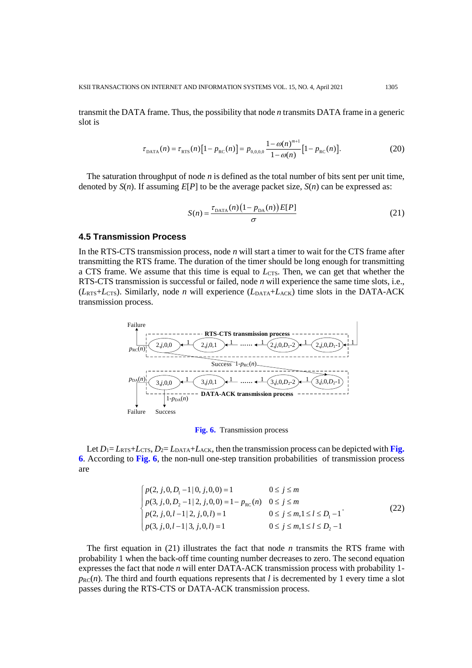transmit the DATA frame. Thus, the possibility that node *n* transmits DATA frame in a generic slot is

$$
\tau_{\text{DATA}}(n) = \tau_{\text{RTS}}(n) \left[ 1 - p_{\text{RC}}(n) \right] = p_{0,0,0,0} \frac{1 - \omega(n)^{m+1}}{1 - \omega(n)} \left[ 1 - p_{\text{RC}}(n) \right]. \tag{20}
$$

The saturation throughput of node *n* is defined as the total number of bits sent per unit time, denoted by  $S(n)$ . If assuming  $E[P]$  to be the average packet size,  $S(n)$  can be expressed as:

$$
S(n) = \frac{\tau_{\text{DATA}}(n)\left(1 - p_{\text{DA}}(n)\right)E[P]}{\sigma} \tag{21}
$$

# **4.5 Transmission Process**

In the RTS-CTS transmission process, node *n* will start a timer to wait for the CTS frame after transmitting the RTS frame. The duration of the timer should be long enough for transmitting a CTS frame. We assume that this time is equal to  $L_{\text{CTS}}$ . Then, we can get that whether the RTS-CTS transmission is successful or failed, node *n* will experience the same time slots, i.e.,  $(L_{\text{RTS}}+L_{\text{CTS}})$ . Similarly, node *n* will experience  $(L_{\text{DATA}}+L_{\text{ACK}})$  time slots in the DATA-ACK transmission process.



**Fig. 6.** Transmission process

Let  $D_1 = L_{RTS} + L_{CTS}$ ,  $D_2 = L_{DATA} + L_{ACK}$ , then the transmission process can be depicted with **Fig. 6**. According to **Fig. 6**, the non-null one-step transition probabilities of transmission process are

$$
\begin{cases}\np(2, j, 0, D_1 - 1 | 0, j, 0, 0) = 1 & 0 \le j \le m \\
p(3, j, 0, D_2 - 1 | 2, j, 0, 0) = 1 - p_{RC}(n) & 0 \le j \le m \\
p(2, j, 0, l - 1 | 2, j, 0, l) = 1 & 0 \le j \le m, 1 \le l \le D_1 - 1 \\
p(3, j, 0, l - 1 | 3, j, 0, l) = 1 & 0 \le j \le m, 1 \le l \le D_2 - 1\n\end{cases}
$$
\n(22)

The first equation in (21) illustrates the fact that node *n* transmits the RTS frame with probability 1 when the back-off time counting number decreases to zero. The second equation expresses the fact that node *n* will enter DATA-ACK transmission process with probability 1  $p_{\text{RC}}(n)$ . The third and fourth equations represents that *l* is decremented by 1 every time a slot passes during the RTS-CTS or DATA-ACK transmission process.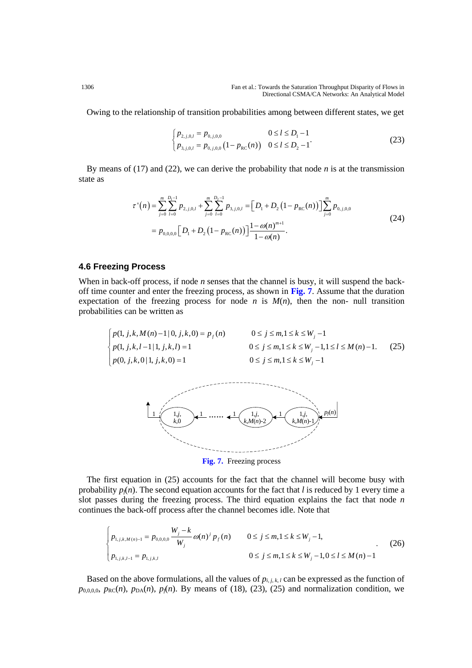Owing to the relationship of transition probabilities among between different states, we get

$$
\begin{cases}\np_{2,j,0,l} = p_{0,j,0,0} & 0 \le l \le D_1 - 1 \\
p_{3,j,0,l} = p_{0,j,0,0} \left(1 - p_{\text{RC}}(n)\right) & 0 \le l \le D_2 - 1\n\end{cases} \tag{23}
$$

By means of (17) and (22), we can derive the probability that node *n* is at the transmission state as

$$
\tau^{(n)}(n) = \sum_{j=0}^{m} \sum_{l=0}^{D_{1}-1} p_{2,j,0,l} + \sum_{j=0}^{m} \sum_{l=0}^{D_{2}-1} p_{3,j,0,l} = \left[ D_{1} + D_{2} \left( 1 - p_{RC}(n) \right) \right] \sum_{j=0}^{m} p_{0,j,0,0}
$$
\n
$$
= p_{0,0,0,0} \left[ D_{1} + D_{2} \left( 1 - p_{RC}(n) \right) \right] \frac{1 - \omega(n)^{m+1}}{1 - \omega(n)}.
$$
\n(24)

## **4.6 Freezing Process**

When in back-off process, if node *n* senses that the channel is busy, it will suspend the backoff time counter and enter the freezing process, as shown in **Fig. 7**. Assume that the duration expectation of the freezing process for node *n* is  $M(n)$ , then the non- null transition probabilities can be written as

$$
\begin{cases}\np(1, j, k, M(n) - 1 | 0, j, k, 0) = p_f(n) & 0 \le j \le m, 1 \le k \le W_j - 1 \\
p(1, j, k, l - 1 | 1, j, k, l) = 1 & 0 \le j \le m, 1 \le k \le W_j - 1, 1 \le l \le M(n) - 1. \\
p(0, j, k, 0 | 1, j, k, 0) = 1 & 0 \le j \le m, 1 \le k \le W_j - 1\n\end{cases}
$$
\n(25)



**Fig. 7.** Freezing process

The first equation in (25) accounts for the fact that the channel will become busy with probability  $p_f(n)$ . The second equation accounts for the fact that *l* is reduced by 1 every time a slot passes during the freezing process. The third equation explains the fact that node *n* continues the back-off process after the channel becomes idle. Note that

$$
\begin{cases}\np_{1,j,k,M(n)-1} = p_{0,0,0,0} \frac{W_j - k}{W_j} \omega(n)^j p_f(n) & 0 \le j \le m, 1 \le k \le W_j - 1, \\
p_{1,j,k,l-1} = p_{1,j,k,l} & 0 \le j \le m, 1 \le k \le W_j - 1, 0 \le l \le M(n) - 1\n\end{cases} (26)
$$

Based on the above formulations, all the values of  $p_{i,j,k,l}$  can be expressed as the function of  $p_{0,0,0,0}$ ,  $p_{\text{RC}}(n)$ ,  $p_{\text{DA}}(n)$ ,  $p_f(n)$ . By means of (18), (23), (25) and normalization condition, we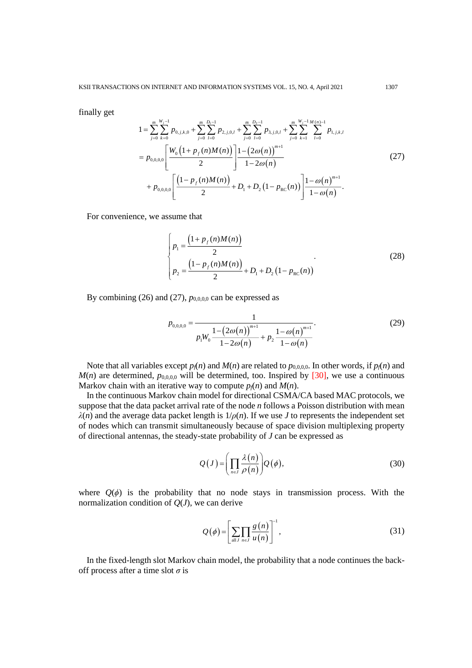finally get

$$
1 = \sum_{j=0}^{m} \sum_{k=0}^{W_j - 1} p_{0,j,k,0} + \sum_{j=0}^{m} \sum_{l=0}^{D_1 - 1} p_{2,j,0,l} + \sum_{j=0}^{m} \sum_{l=0}^{D_2 - 1} p_{3,j,0,l} + \sum_{j=0}^{m} \sum_{k=1}^{W_j - 1} \sum_{l=0}^{M(n)-1} p_{1,j,k,l}
$$
  
=  $p_{0,0,0,0} \left[ \frac{W_0 \left( 1 + p_f(n)M(n) \right)}{2} \right] \frac{1 - \left( 2\omega(n) \right)^{m+1}}{1 - 2\omega(n)} + p_{0,0,0,0} \left[ \frac{\left( 1 - p_f(n)M(n) \right)}{2} + D_1 + D_2 \left( 1 - p_{RC}(n) \right) \right] \frac{1 - \omega(n)^{m+1}}{1 - \omega(n)}.$  (27)

For convenience, we assume that

$$
\begin{cases}\np_1 = \frac{\left(1 + p_f(n)M(n)\right)}{2} \\
p_2 = \frac{\left(1 - p_f(n)M(n)\right)}{2} + D_1 + D_2\left(1 - p_{RC}(n)\right)\n\end{cases} \tag{28}
$$

By combining (26) and (27),  $p_{0,0,0,0}$  can be expressed as

$$
p_{0,0,0,0} = \frac{1}{p_1 W_0 \frac{1 - (2\omega(n))^{m+1}}{1 - 2\omega(n)} + p_2 \frac{1 - \omega(n)^{m+1}}{1 - \omega(n)}}.
$$
(29)

Note that all variables except  $p_f(n)$  and  $M(n)$  are related to  $p_{0,0,0,0}$ . In other words, if  $p_f(n)$  and  $M(n)$  are determined,  $p_{0,0,0,0}$  will be determined, too. Inspired by [30], we use a continuous Markov chain with an iterative way to compute  $p_f(n)$  and  $M(n)$ .

In the continuous Markov chain model for directional CSMA/CA based MAC protocols, we suppose that the data packet arrival rate of the node *n* follows a Poisson distribution with mean  $\lambda(n)$  and the average data packet length is  $1/\rho(n)$ . If we use *J* to represents the independent set of nodes which can transmit simultaneously because of space division multiplexing property of directional antennas, the steady-state probability of *J* can be expressed as

$$
Q(J) = \left(\prod_{n \in J} \frac{\lambda(n)}{\rho(n)}\right) Q(\phi),\tag{30}
$$

where  $Q(\phi)$  is the probability that no node stays in transmission process. With the normalization condition of *Q*(*J*), we can derive

$$
Q(\phi) = \left[ \sum_{\text{all } J} \prod_{n \in J} \frac{g(n)}{u(n)} \right]^{-1},\tag{31}
$$

In the fixed-length slot Markov chain model, the probability that a node continues the backoff process after a time slot *σ* is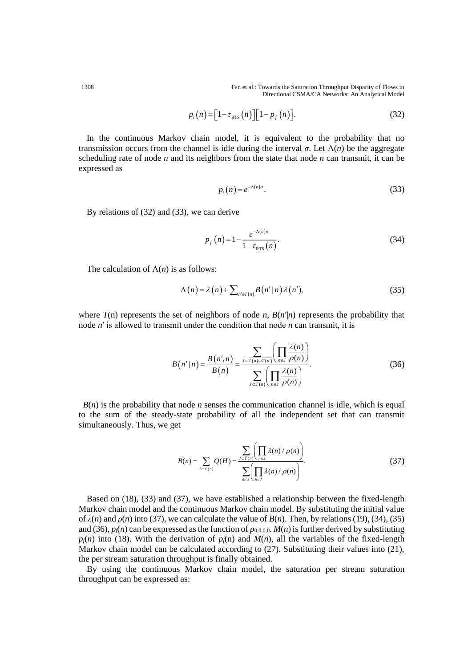1308 Fan et al.: Towards the Saturation Throughput Disparity of Flows in Directional CSMA/CA Networks: An Analytical Model

$$
p_i(n) = \left[1 - \tau_{\text{RTS}}(n)\right] \left[1 - p_f(n)\right].\tag{32}
$$

In the continuous Markov chain model, it is equivalent to the probability that no transmission occurs from the channel is idle during the interval *σ*. Let Λ(*n*) be the aggregate scheduling rate of node *n* and its neighbors from the state that node *n* can transmit, it can be expressed as

$$
p_i(n) = e^{-\Lambda(n)\sigma}.
$$
\n(33)

By relations of (32) and (33), we can derive

$$
p_f(n) = 1 - \frac{e^{-\Lambda(n)\sigma}}{1 - \tau_{\text{RTS}}(n)}.
$$
 (34)

The calculation of  $\Lambda(n)$  is as follows:

$$
\Lambda(n) = \lambda(n) + \sum_{n' \in T(n)} B(n'|n) \lambda(n'), \tag{35}
$$

where  $T(n)$  represents the set of neighbors of node *n*,  $B(n'|n)$  represents the probability that node *n*′ is allowed to transmit under the condition that node *n* can transmit, it is

$$
B(n'|n) = \frac{B(n',n)}{B(n)} = \frac{\sum_{J \subset \overline{T(n)} \cup \overline{T(n')}} \left(\prod_{n \in J} \frac{\lambda(n)}{\rho(n)}\right)}{\sum_{J \subset \overline{T(n)}} \left(\prod_{n \in J} \frac{\lambda(n)}{\rho(n)}\right)}.
$$
(36)

 $B(n)$  is the probability that node *n* senses the communication channel is idle, which is equal to the sum of the steady-state probability of all the independent set that can transmit simultaneously. Thus, we get

$$
B(n) = \sum_{J \subset \overline{T}(n)} Q(H) = \frac{\sum_{J \subset \overline{T}(n)} \left( \prod_{n \in J} \lambda(n) / \rho(n) \right)}{\sum_{\substack{all \ J}} \left( \prod_{n \in J} \lambda(n) / \rho(n) \right)}.
$$
(37)

Based on (18), (33) and (37), we have established a relationship between the fixed-length Markov chain model and the continuous Markov chain model. By substituting the initial value of  $λ(n)$  and  $ρ(n)$  into (37), we can calculate the value of  $B(n)$ . Then, by relations (19), (34), (35) and (36),  $p_f(n)$  can be expressed as the function of  $p_{0,0,0,0}$ .  $M(n)$  is further derived by substituting  $p_f(n)$  into (18). With the derivation of  $p_f(n)$  and  $M(n)$ , all the variables of the fixed-length Markov chain model can be calculated according to (27). Substituting their values into (21), the per stream saturation throughput is finally obtained.

By using the continuous Markov chain model, the saturation per stream saturation throughput can be expressed as: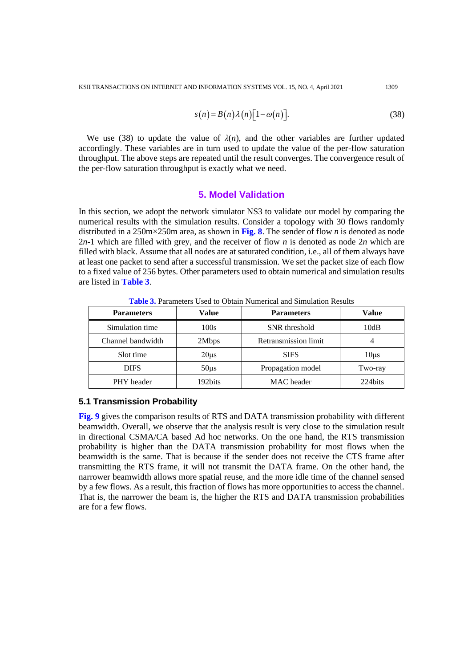$$
s(n) = B(n)\lambda(n)[1 - \omega(n)].
$$
\n(38)

We use (38) to update the value of  $\lambda(n)$ , and the other variables are further updated accordingly. These variables are in turn used to update the value of the per-flow saturation throughput. The above steps are repeated until the result converges. The convergence result of the per-flow saturation throughput is exactly what we need.

# **5. Model Validation**

In this section, we adopt the network simulator NS3 to validate our model by comparing the numerical results with the simulation results. Consider a topology with 30 flows randomly distributed in a 250m×250m area, as shown in **Fig. 8**. The sender of flow *n* is denoted as node 2*n*-1 which are filled with grey, and the receiver of flow *n* is denoted as node 2*n* which are filled with black. Assume that all nodes are at saturated condition, i.e., all of them always have at least one packet to send after a successful transmission. We set the packet size of each flow to a fixed value of 256 bytes. Other parameters used to obtain numerical and simulation results are listed in **Table 3**.

| <b>Parameters</b> | <b>Value</b> | <b>Parameters</b>    | Value     |
|-------------------|--------------|----------------------|-----------|
| Simulation time   | 100s         | SNR threshold        | 10dB      |
| Channel bandwidth | 2Mbps        | Retransmission limit |           |
| Slot time         | $20\mu s$    | <b>SIFS</b>          | $10\mu s$ |
| <b>DIFS</b>       | $50\mu s$    | Propagation model    | Two-ray   |
| PHY header        | 192bits      | MAC header           | 224bits   |

**Table 3.** Parameters Used to Obtain Numerical and Simulation Results

## **5.1 Transmission Probability**

**Fig. 9** gives the comparison results of RTS and DATA transmission probability with different beamwidth. Overall, we observe that the analysis result is very close to the simulation result in directional CSMA/CA based Ad hoc networks. On the one hand, the RTS transmission probability is higher than the DATA transmission probability for most flows when the beamwidth is the same. That is because if the sender does not receive the CTS frame after transmitting the RTS frame, it will not transmit the DATA frame. On the other hand, the narrower beamwidth allows more spatial reuse, and the more idle time of the channel sensed by a few flows. As a result, this fraction of flows has more opportunities to access the channel. That is, the narrower the beam is, the higher the RTS and DATA transmission probabilities are for a few flows.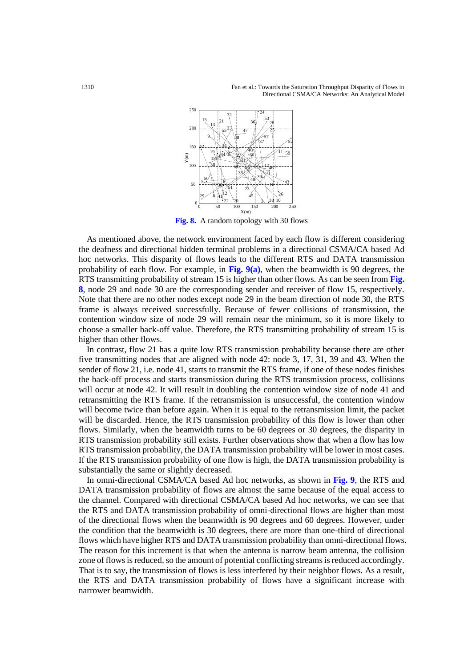Fan et al.: Towards the Saturation Throughput Disparity of Flows in Directional CSMA/CA Networks: An Analytical Model



**Fig. 8.** A random topology with 30 flows

As mentioned above, the network environment faced by each flow is different considering the deafness and directional hidden terminal problems in a directional CSMA/CA based Ad hoc networks. This disparity of flows leads to the different RTS and DATA transmission probability of each flow. For example, in **Fig. 9(a)**, when the beamwidth is 90 degrees, the RTS transmitting probability of stream 15 is higher than other flows. As can be seen from **Fig.**  , node 29 and node 30 are the corresponding sender and receiver of flow 15, respectively. Note that there are no other nodes except node 29 in the beam direction of node 30, the RTS frame is always received successfully. Because of fewer collisions of transmission, the contention window size of node 29 will remain near the minimum, so it is more likely to choose a smaller back-off value. Therefore, the RTS transmitting probability of stream 15 is higher than other flows.

In contrast, flow 21 has a quite low RTS transmission probability because there are other five transmitting nodes that are aligned with node 42: node 3, 17, 31, 39 and 43. When the sender of flow 21, i.e. node 41, starts to transmit the RTS frame, if one of these nodes finishes the back-off process and starts transmission during the RTS transmission process, collisions will occur at node 42. It will result in doubling the contention window size of node 41 and retransmitting the RTS frame. If the retransmission is unsuccessful, the contention window will become twice than before again. When it is equal to the retransmission limit, the packet will be discarded. Hence, the RTS transmission probability of this flow is lower than other flows. Similarly, when the beamwidth turns to be 60 degrees or 30 degrees, the disparity in RTS transmission probability still exists. Further observations show that when a flow has low RTS transmission probability, the DATA transmission probability will be lower in most cases. If the RTS transmission probability of one flow is high, the DATA transmission probability is substantially the same or slightly decreased.

In omni-directional CSMA/CA based Ad hoc networks, as shown in **Fig. 9**, the RTS and DATA transmission probability of flows are almost the same because of the equal access to the channel. Compared with directional CSMA/CA based Ad hoc networks, we can see that the RTS and DATA transmission probability of omni-directional flows are higher than most of the directional flows when the beamwidth is 90 degrees and 60 degrees. However, under the condition that the beamwidth is 30 degrees, there are more than one-third of directional flows which have higher RTS and DATA transmission probability than omni-directional flows. The reason for this increment is that when the antenna is narrow beam antenna, the collision zone of flows is reduced, so the amount of potential conflicting streams is reduced accordingly. That is to say, the transmission of flows is less interfered by their neighbor flows. As a result, the RTS and DATA transmission probability of flows have a significant increase with narrower beamwidth.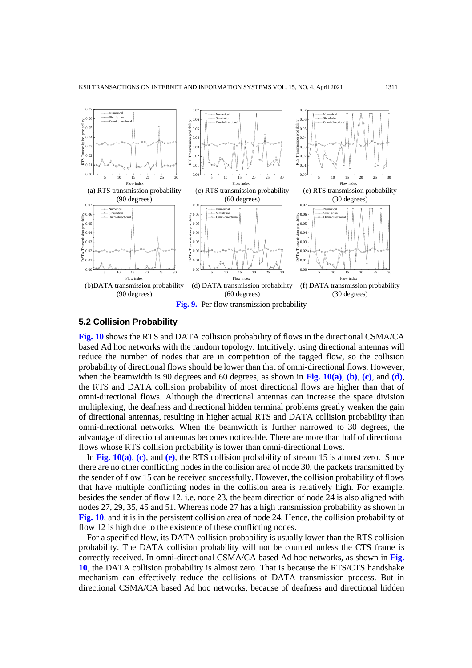

## **5.2 Collision Probability**

**Fig. 10** shows the RTS and DATA collision probability of flows in the directional CSMA/CA based Ad hoc networks with the random topology. [Intuitively,](file:///C:/Users/SGQ/AppData/Local/youdao/dict/Application/7.5.2.0/resultui/dict/) using directional antennas will reduce the number of nodes that are in competition of the tagged flow, so the collision probability of directional flows should be lower than that of omni-directional flows. However, when the beamwidth is 90 degrees and 60 degrees, as shown in **Fig. 10(a)**, **(b)**, **(c)**, and **(d)**, the RTS and DATA collision probability of most directional flows are higher than that of omni-directional flows. Although the directional antennas can increase the space division multiplexing, the deafness and directional hidden terminal problems greatly weaken the gain of directional antennas, resulting in higher actual RTS and DATA collision probability than omni-directional networks. When the beamwidth is further narrowed to 30 degrees, the advantage of directional antennas becomes noticeable. There are more than half of directional flows whose RTS collision probability is lower than omni-directional flows.

In **Fig. 10(a)**, **(c)**, and **(e)**, the RTS collision probability of stream 15 is almost zero. Since there are no other conflicting nodes in the collision area of node 30, the packets transmitted by the sender of flow 15 can be received successfully. However, the collision probability of flows that have multiple conflicting nodes in the collision area is relatively high. For example, besides the sender of flow 12, i.e. node 23, the beam direction of node 24 is also aligned with nodes 27, 29, 35, 45 and 51. Whereas node 27 has a high transmission probability as shown in **Fig. 10**, and it is in the persistent collision area of node 24. Hence, the collision probability of flow 12 is high due to the existence of these conflicting nodes.

For a specified flow, its DATA collision probability is usually lower than the RTS collision probability. The DATA collision probability will not be counted unless the CTS frame is correctly received. In omni-directional CSMA/CA based Ad hoc networks, as shown in **Fig. 10**, the DATA collision probability is almost zero. That is because the RTS/CTS handshake mechanism can effectively reduce the collisions of DATA transmission process. But in directional CSMA/CA based Ad hoc networks, because of deafness and directional hidden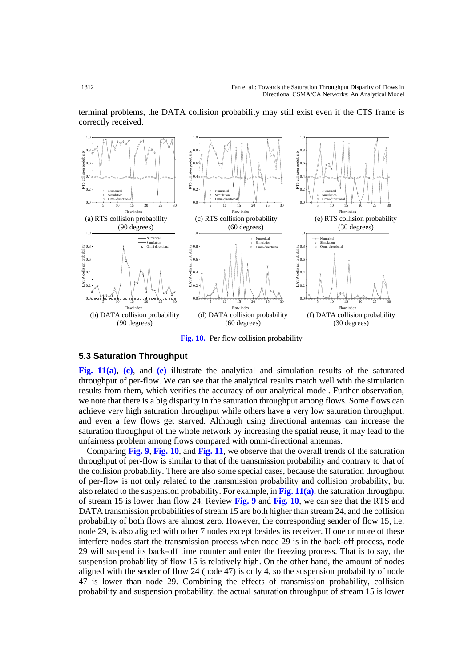

terminal problems, the DATA collision probability may still exist even if the CTS frame is correctly received.

**Fig. 10.** Per flow collision probability

## **5.3 Saturation Throughput**

**Fig. 11(a)**, **(c)**, and **(e)** illustrate the analytical and simulation results of the saturated throughput of per-flow. We can see that the analytical results match well with the simulation results from them, which verifies the accuracy of our analytical model. Further observation, we note that there is a big disparity in the saturation throughput among flows. Some flows can achieve very high saturation throughput while others have a very low saturation throughput, and even a few flows get starved. Although using directional antennas can increase the saturation throughput of the whole network by increasing the spatial reuse, it may lead to the unfairness problem among flows compared with omni-directional antennas.

Comparing **Fig. 9**, **Fig. 10**, and **Fig. 11**, we observe that the overall trends of the saturation throughput of per-flow is similar to that of the transmission probability and contrary to that of the collision probability. There are also some special cases, because the saturation throughout of per-flow is not only related to the transmission probability and collision probability, but also related to the suspension probability. For example, in **Fig. 11(a)**, the saturation throughput of stream 15 is lower than flow 24. Review **Fig. 9** and **Fig. 10**, we can see that the RTS and DATA transmission probabilities of stream 15 are both higher than stream 24, and the collision probability of both flows are almost zero. However, the corresponding sender of flow 15, i.e. node 29, is also aligned with other 7 nodes except besides its receiver. If one or more of these interfere nodes start the transmission process when node 29 is in the back-off process, node 29 will suspend its back-off time counter and enter the freezing process. That is to say, the suspension probability of flow 15 is relatively high. On the other hand, the amount of nodes aligned with the sender of flow 24 (node 47) is only 4, so the suspension probability of node 47 is lower than node 29. Combining the effects of transmission probability, collision probability and suspension probability, the actual saturation throughput of stream 15 is lower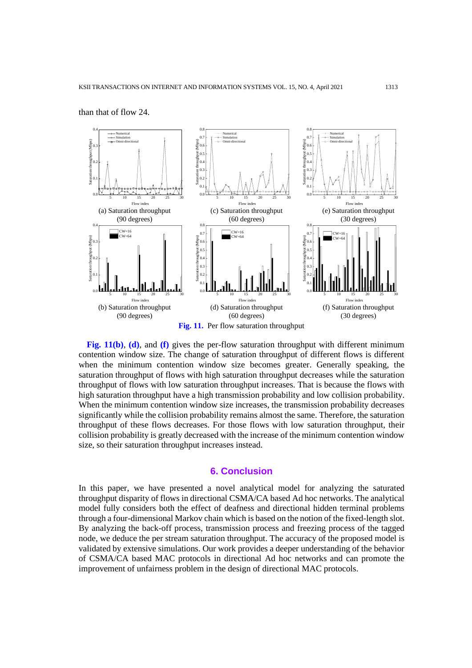

than that of flow 24.

**Fig. 11(b)**, **(d)**, and **(f)** gives the per-flow saturation throughput with different minimum contention window size. The change of saturation throughput of different flows is different when the minimum contention window size becomes greater. Generally speaking, the saturation throughput of flows with high saturation throughput decreases while the saturation throughput of flows with low saturation throughput increases. That is because the flows with high saturation throughput have a high transmission probability and low collision probability. When the minimum contention window size increases, the transmission probability decreases significantly while the collision probability remains almost the same. Therefore, the saturation throughput of these flows decreases. For those flows with low saturation throughput, their collision probability is greatly decreased with the increase of the minimum contention window size, so their saturation throughput increases instead.

## **6. Conclusion**

In this paper, we have presented a novel analytical model for analyzing the saturated throughput disparity of flows in directional CSMA/CA based Ad hoc networks. The analytical model fully considers both the effect of deafness and directional hidden terminal problems through a four-dimensional Markov chain which is based on the notion of the fixed-length slot. By analyzing the back-off process, transmission process and freezing process of the tagged node, we deduce the per stream saturation throughput. The accuracy of the proposed model is validated by extensive simulations. Our work provides a deeper understanding of the behavior of CSMA/CA based MAC protocols in directional Ad hoc networks and can promote the improvement of unfairness problem in the design of directional MAC protocols.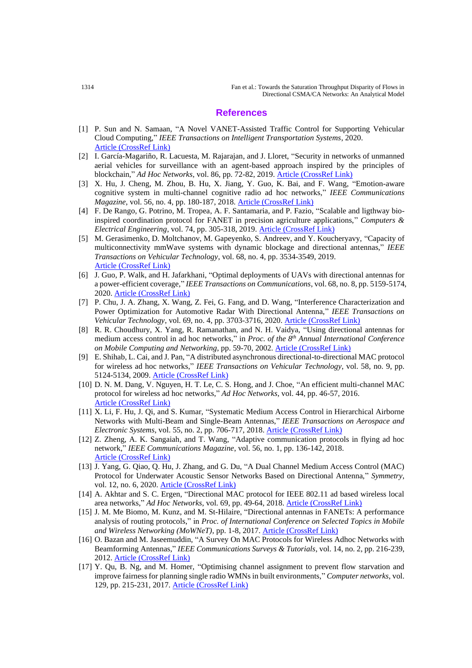## **References**

- [1] P. Sun and N. Samaan, "A Novel VANET-Assisted Traffic Control for Supporting Vehicular Cloud Computing," *IEEE Transactions on Intelligent Transportation Systems*, 2020. [Article \(CrossRef Link\)](https://doi.org/10.1109/TITS.2020.2994280)
- [2] I. García-Magariño, R. Lacuesta, M. Rajarajan, and J. Lloret, "Security in networks of unmanned aerial vehicles for surveillance with an agent-based approach inspired by the principles of blockchain," *Ad Hoc Networks*, vol. 86, pp. 72-82, 2019. [Article \(CrossRef Link\)](https://doi.org/10.1016/j.adhoc.2018.11.010)
- [3] X. Hu, J. Cheng, M. Zhou, B. Hu, X. Jiang, Y. Guo, K. Bai, and F. Wang, "Emotion-aware cognitive system in multi-channel cognitive radio ad hoc networks," *IEEE Communications Magazine*, vol. 56, no. 4, pp. 180-187, 2018. **[Article \(CrossRef Link\)](https://doi.org/10.1109/MCOM.2018.1700728)**
- [4] F. De Rango, G. Potrino, M. Tropea, A. F. Santamaria, and P. Fazio, "Scalable and ligthway bioinspired coordination protocol for FANET in precision agriculture applications," *Computers & Electrical Engineering*, vol. 74, pp. 305-318, 2019. [Article \(CrossRef Link\)](https://doi.org/10.1016/j.compeleceng.2019.01.018)
- [5] M. Gerasimenko, D. Moltchanov, M. Gapeyenko, S. Andreev, and Y. Koucheryavy, "Capacity of multiconnectivity mmWave systems with dynamic blockage and directional antennas," *IEEE Transactions on Vehicular Technology*, vol. 68, no. 4, pp. 3534-3549, 2019. [Article \(CrossRef Link\)](https://doi.org/10.1109/TVT.2019.2896565)
- [6] J. Guo, P. Walk, and H. Jafarkhani, "Optimal deployments of UAVs with directional antennas for a power-efficient coverage," *IEEE Transactions on Communications*, vol. 68, no. 8, pp. 5159-5174, 2020. [Article \(CrossRef Link\)](http://doi.org/10.1109/TCOMM.2020.2992521)
- [7] P. Chu, J. A. Zhang, X. Wang, Z. Fei, G. Fang, and D. Wang, "Interference Characterization and Power Optimization for Automotive Radar With Directional Antenna," *IEEE Transactions on Vehicular Technology*, vol. 69, no. 4, pp. 3703-3716, 2020. [Article \(CrossRef Link\)](https://doi.org/10.1109/TVT.2020.2968929)
- [8] R. R. Choudhury, X. Yang, R. Ramanathan, and N. H. Vaidya, "Using directional antennas for medium access control in ad hoc networks," in *Proc. of the 8th Annual International Conference on Mobile Computing and Networking*, pp. 59-70, 2002. [Article \(CrossRef Link\)](https://doi.org/10.1145/570645.570653)
- [9] E. Shihab, L. Cai, and J. Pan, "A distributed asynchronous directional-to-directional MAC protocol for wireless ad hoc networks," *IEEE Transactions on Vehicular Technology*, vol. 58, no. 9, pp. 5124-5134, 2009. [Article \(CrossRef Link\)](https://doi.org/10.1109/TVT.2009.2024085)
- [10] D. N. M. Dang, V. Nguyen, H. T. Le, C. S. Hong, and J. Choe, "An efficient multi-channel MAC protocol for wireless ad hoc networks," *Ad Hoc Networks*, vol. 44, pp. 46-57, 2016. [Article \(CrossRef Link\)](https://doi.org/10.1016/j.adhoc.2016.02.013)
- [11] X. Li, F. Hu, J. Qi, and S. Kumar, "Systematic Medium Access Control in Hierarchical Airborne Networks with Multi-Beam and Single-Beam Antennas," *IEEE Transactions on Aerospace and Electronic Systems*, vol. 55, no. 2, pp. 706-717, 2018. [Article \(CrossRef Link\)](https://doi.org/10.1109/TAES.2018.2864468)
- [12] Z. Zheng, A. K. Sangaiah, and T. Wang, "Adaptive communication protocols in flying ad hoc network," *IEEE Communications Magazine*, vol. 56, no. 1, pp. 136-142, 2018. [Article \(CrossRef Link\)](https://doi.org/10.1109/MCOM.2017.1700323)
- [13] J. Yang, G. Qiao, Q. Hu, J. Zhang, and G. Du, "A Dual Channel Medium Access Control (MAC) Protocol for Underwater Acoustic Sensor Networks Based on Directional Antenna," *Symmetry*, vol. 12, no. 6, 2020. [Article \(CrossRef Link\)](https://doi.org/10.3390/sym12060878)
- [14] A. Akhtar and S. C. Ergen, "Directional MAC protocol for IEEE 802.11 ad based wireless local area networks," *Ad Hoc Networks*, vol. 69, pp. 49-64, 2018. [Article \(CrossRef Link\)](https://doi.org/10.1016/j.adhoc.2017.10.009)
- [15] J. M. Me Biomo, M. Kunz, and M. St-Hilaire, "Directional antennas in FANETs: A performance analysis of routing protocols," in *Proc. of International Conference on Selected Topics in Mobile and Wireless Networking (MoWNeT)*, pp. 1-8, 2017. [Article \(CrossRef Link\)](https://doi.org/10.1109/MoWNet.2017.8045949)
- [16] O. Bazan and M. Jaseemuddin, "A Survey On MAC Protocols for Wireless Adhoc Networks with Beamforming Antennas," *IEEE Communications Surveys & Tutorials*, vol. 14, no. 2, pp. 216-239, 2012. [Article \(CrossRef Link\)](https://doi.org/10.1109/SURV.2011.041311.00099)
- [17] Y. Qu, B. Ng, and M. Homer, "Optimising channel assignment to prevent flow starvation and improve fairness for planning single radio WMNs in built environments," *Computer networks*, vol. 129, pp. 215-231, 2017. [Article \(CrossRef Link\)](https://doi.org/10.1016/j.comnet.2017.09.016)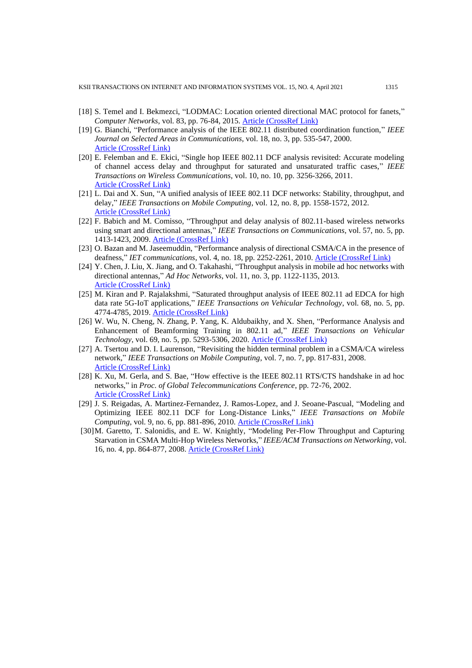- [18] S. Temel and I. Bekmezci, "LODMAC: Location oriented directional MAC protocol for fanets," *Computer Networks*, vol. 83, pp. 76-84, 2015. [Article \(CrossRef Link\)](https://doi.org/10.1016/j.comnet.2015.03.001)
- [19] G. Bianchi, "Performance analysis of the IEEE 802.11 distributed coordination function," *IEEE Journal on Selected Areas in Communications*, vol. 18, no. 3, pp. 535-547, 2000. [Article \(CrossRef Link\)](https://doi.org/10.1109/49.840210)
- [20] E. Felemban and E. Ekici, "Single hop IEEE 802.11 DCF analysis revisited: Accurate modeling of channel access delay and throughput for saturated and unsaturated traffic cases," *IEEE Transactions on Wireless Communications*, vol. 10, no. 10, pp. 3256-3266, 2011. [Article \(CrossRef Link\)](https://doi.org/10.1109/TWC.2011.072511.101227)
- [21] L. Dai and X. Sun, "A unified analysis of IEEE 802.11 DCF networks: Stability, throughput, and delay," *IEEE Transactions on Mobile Computing*, vol. 12, no. 8, pp. 1558-1572, 2012. [Article \(CrossRef Link\)](https://doi.org/10.1109/TMC.2012.128)
- [22] F. Babich and M. Comisso, "Throughput and delay analysis of 802.11-based wireless networks using smart and directional antennas," *IEEE Transactions on Communications*, vol. 57, no. 5, pp. 1413-1423, 2009. [Article \(CrossRef Link\)](https://doi.org/10.1109/TCOMM.2009.05.070250)
- [23] O. Bazan and M. Jaseemuddin, "Performance analysis of directional CSMA/CA in the presence of deafness," *IET communications*, vol. 4, no. 18, pp. 2252-2261, 2010. [Article \(CrossRef Link\)](https://doi.org/10.1049/iet-com.2009.0782)
- [24] Y. Chen, J. Liu, X. Jiang, and O. Takahashi, "Throughput analysis in mobile ad hoc networks with directional antennas," *Ad Hoc Networks*, vol. 11, no. 3, pp. 1122-1135, 2013. [Article \(CrossRef Link\)](https://doi.org/10.1016/j.adhoc.2012.12.003)
- [25] M. Kiran and P. Rajalakshmi, "Saturated throughput analysis of IEEE 802.11 ad EDCA for high data rate 5G-IoT applications," *IEEE Transactions on Vehicular Technology*, vol. 68, no. 5, pp. 4774-4785, 2019. **[Article \(CrossRef Link\)](https://doi.org/10.1109/TVT.2019.2903890)**
- [26] W. Wu, N. Cheng, N. Zhang, P. Yang, K. Aldubaikhy, and X. Shen, "Performance Analysis and Enhancement of Beamforming Training in 802.11 ad," *IEEE Transactions on Vehicular Technology*, vol. 69, no. 5, pp. 5293-5306, 2020. [Article \(CrossRef Link\)](https://doi.org/10.1109/TVT.2020.2982178)
- [27] A. Tsertou and D. I. Laurenson, "Revisiting the hidden terminal problem in a CSMA/CA wireless network," *IEEE Transactions on Mobile Computing*, vol. 7, no. 7, pp. 817-831, 2008. [Article \(CrossRef Link\)](https://doi.org/10.1109/TMC.2007.70757)
- [28] K. Xu, M. Gerla, and S. Bae, "How effective is the IEEE 802.11 RTS/CTS handshake in ad hoc networks," in *Proc. of Global Telecommunications Conference*, pp. 72-76, 2002. [Article \(CrossRef Link\)](https://doi.org/10.1109/GLOCOM.2002.1188044)
- [29] J. S. Reigadas, A. Martinez-Fernandez, J. Ramos-Lopez, and J. Seoane-Pascual, "Modeling and Optimizing IEEE 802.11 DCF for Long-Distance Links," *IEEE Transactions on Mobile Computing*, vol. 9, no. 6, pp. 881-896, 2010. [Article \(CrossRef Link\)](https://doi.org/10.1109/TMC.2010.27)
- [30]M. Garetto, T. Salonidis, and E. W. Knightly, "Modeling Per-Flow Throughput and Capturing Starvation in CSMA Multi-Hop Wireless Networks," *IEEE/ACM Transactions on Networking*, vol. 16, no. 4, pp. 864-877, 2008. [Article \(CrossRef Link\)](https://doi.org/10.1109/TNET.2007.902687)